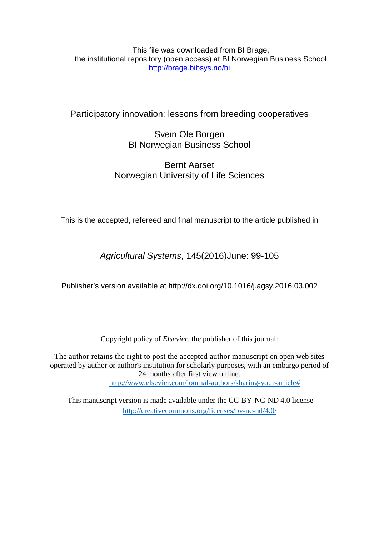# This file was downloaded from BI Brage, the institutional repository (open access) at BI Norwegian Business School http://brage.bibsys.no/bi

# Participatory innovation: lessons from breeding cooperatives

# Svein Ole Borgen BI Norwegian Business School

# Bernt Aarset Norwegian University of Life Sciences

This is the accepted, refereed and final manuscript to the article published in

*Agricultural Systems*, 145(2016)June: 99-105

Publisher's version available at http://dx.doi.org[/10.1016/j.agsy.2016.03.002](http://dx.doi.org/10.1016/j.agsy.2016.03.002)

Copyright policy of *Elsevier,* the publisher of this journal:

The author retains the right to post the accepted author manuscript on open web sites operated by author or author's institution for scholarly purposes, with an embargo period of 24 months after first view online. [http://www.elsevier.com/journal-authors/sharing-your-article#](http://www.elsevier.com/journal-authors/sharing-your-article)

This manuscript version is made available under the CC-BY-NC-ND 4.0 license <http://creativecommons.org/licenses/by-nc-nd/4.0/>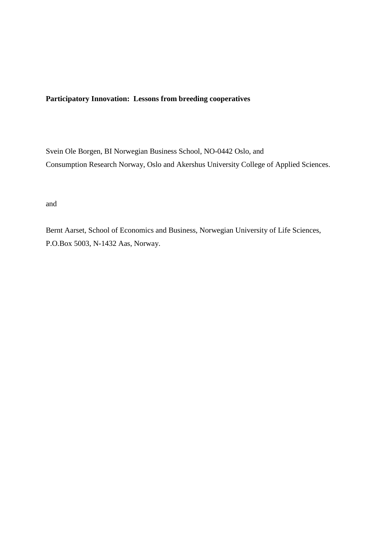# **Participatory Innovation: Lessons from breeding cooperatives**

Svein Ole Borgen, BI Norwegian Business School, NO-0442 Oslo, and Consumption Research Norway, Oslo and Akershus University College of Applied Sciences.

and

Bernt Aarset, School of Economics and Business, Norwegian University of Life Sciences, P.O.Box 5003, N-1432 Aas, Norway.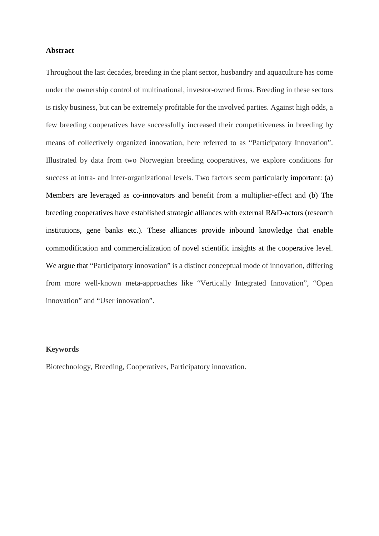## **Abstract**

Throughout the last decades, breeding in the plant sector, husbandry and aquaculture has come under the ownership control of multinational, investor-owned firms. Breeding in these sectors is risky business, but can be extremely profitable for the involved parties. Against high odds, a few breeding cooperatives have successfully increased their competitiveness in breeding by means of collectively organized innovation, here referred to as "Participatory Innovation". Illustrated by data from two Norwegian breeding cooperatives, we explore conditions for success at intra- and inter-organizational levels. Two factors seem particularly important: (a) Members are leveraged as co-innovators and benefit from a multiplier-effect and (b) The breeding cooperatives have established strategic alliances with external R&D-actors (research institutions, gene banks etc.). These alliances provide inbound knowledge that enable commodification and commercialization of novel scientific insights at the cooperative level. We argue that "Participatory innovation" is a distinct conceptual mode of innovation, differing from more well-known meta-approaches like "Vertically Integrated Innovation", "Open innovation" and "User innovation".

#### **Keywords**

Biotechnology, Breeding, Cooperatives, Participatory innovation.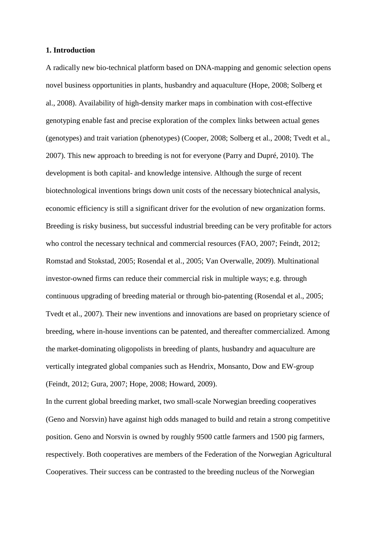### **1. Introduction**

A radically new bio-technical platform based on DNA-mapping and genomic selection opens novel business opportunities in plants, husbandry and aquaculture (Hope, 2008; Solberg et al., 2008). Availability of high-density marker maps in combination with cost-effective genotyping enable fast and precise exploration of the complex links between actual genes (genotypes) and trait variation (phenotypes) (Cooper, 2008; Solberg et al., 2008; Tvedt et al., 2007). This new approach to breeding is not for everyone (Parry and Dupré, 2010). The development is both capital- and knowledge intensive. Although the surge of recent biotechnological inventions brings down unit costs of the necessary biotechnical analysis, economic efficiency is still a significant driver for the evolution of new organization forms. Breeding is risky business, but successful industrial breeding can be very profitable for actors who control the necessary technical and commercial resources (FAO, 2007; Feindt, 2012; Romstad and Stokstad, 2005; Rosendal et al., 2005; Van Overwalle, 2009). Multinational investor-owned firms can reduce their commercial risk in multiple ways; e.g. through continuous upgrading of breeding material or through bio-patenting (Rosendal et al., 2005; Tvedt et al., 2007). Their new inventions and innovations are based on proprietary science of breeding, where in-house inventions can be patented, and thereafter commercialized. Among the market-dominating oligopolists in breeding of plants, husbandry and aquaculture are vertically integrated global companies such as Hendrix, Monsanto, Dow and EW-group (Feindt, 2012; Gura, 2007; Hope, 2008; Howard, 2009).

In the current global breeding market, two small-scale Norwegian breeding cooperatives (Geno and Norsvin) have against high odds managed to build and retain a strong competitive position. Geno and Norsvin is owned by roughly 9500 cattle farmers and 1500 pig farmers, respectively. Both cooperatives are members of the Federation of the Norwegian Agricultural Cooperatives. Their success can be contrasted to the breeding nucleus of the Norwegian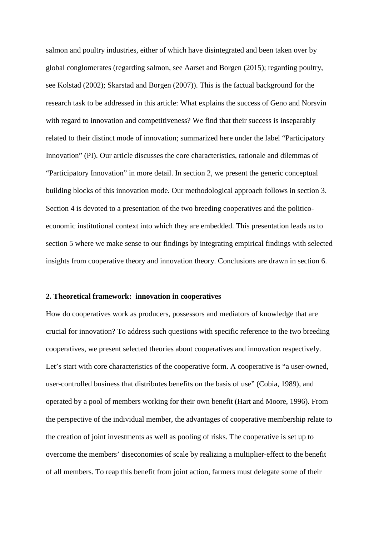salmon and poultry industries, either of which have disintegrated and been taken over by global conglomerates (regarding salmon, see Aarset and Borgen (2015); regarding poultry, see Kolstad (2002); Skarstad and Borgen (2007)). This is the factual background for the research task to be addressed in this article: What explains the success of Geno and Norsvin with regard to innovation and competitiveness? We find that their success is inseparably related to their distinct mode of innovation; summarized here under the label "Participatory Innovation" (PI). Our article discusses the core characteristics, rationale and dilemmas of "Participatory Innovation" in more detail. In section 2, we present the generic conceptual building blocks of this innovation mode. Our methodological approach follows in section 3. Section 4 is devoted to a presentation of the two breeding cooperatives and the politicoeconomic institutional context into which they are embedded. This presentation leads us to section 5 where we make sense to our findings by integrating empirical findings with selected insights from cooperative theory and innovation theory. Conclusions are drawn in section 6.

## **2. Theoretical framework: innovation in cooperatives**

How do cooperatives work as producers, possessors and mediators of knowledge that are crucial for innovation? To address such questions with specific reference to the two breeding cooperatives, we present selected theories about cooperatives and innovation respectively. Let's start with core characteristics of the cooperative form. A cooperative is "a user-owned, user-controlled business that distributes benefits on the basis of use" (Cobia, 1989), and operated by a pool of members working for their own benefit (Hart and Moore, 1996). From the perspective of the individual member, the advantages of cooperative membership relate to the creation of joint investments as well as pooling of risks. The cooperative is set up to overcome the members' diseconomies of scale by realizing a multiplier-effect to the benefit of all members. To reap this benefit from joint action, farmers must delegate some of their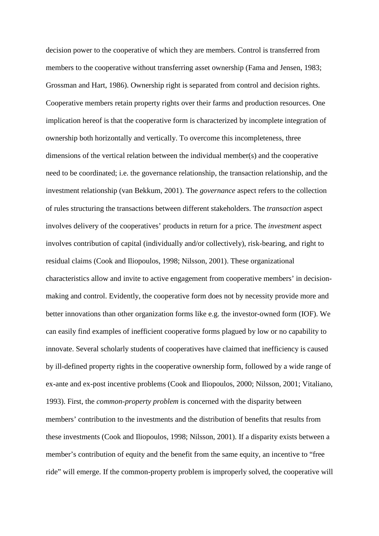decision power to the cooperative of which they are members. Control is transferred from members to the cooperative without transferring asset ownership (Fama and Jensen, 1983; Grossman and Hart, 1986). Ownership right is separated from control and decision rights. Cooperative members retain property rights over their farms and production resources. One implication hereof is that the cooperative form is characterized by incomplete integration of ownership both horizontally and vertically. To overcome this incompleteness, three dimensions of the vertical relation between the individual member(s) and the cooperative need to be coordinated; i.e. the governance relationship, the transaction relationship, and the investment relationship (van Bekkum, 2001). The *governance* aspect refers to the collection of rules structuring the transactions between different stakeholders. The *transaction* aspect involves delivery of the cooperatives' products in return for a price. The *investment* aspect involves contribution of capital (individually and/or collectively), risk-bearing, and right to residual claims (Cook and Iliopoulos, 1998; Nilsson, 2001). These organizational characteristics allow and invite to active engagement from cooperative members' in decisionmaking and control. Evidently, the cooperative form does not by necessity provide more and better innovations than other organization forms like e.g. the investor-owned form (IOF). We can easily find examples of inefficient cooperative forms plagued by low or no capability to innovate. Several scholarly students of cooperatives have claimed that inefficiency is caused by ill-defined property rights in the cooperative ownership form, followed by a wide range of ex-ante and ex-post incentive problems (Cook and Iliopoulos, 2000; Nilsson, 2001; Vitaliano, 1993). First, the *common-property problem* is concerned with the disparity between members' contribution to the investments and the distribution of benefits that results from these investments (Cook and Iliopoulos, 1998; Nilsson, 2001). If a disparity exists between a member's contribution of equity and the benefit from the same equity, an incentive to "free ride" will emerge. If the common-property problem is improperly solved, the cooperative will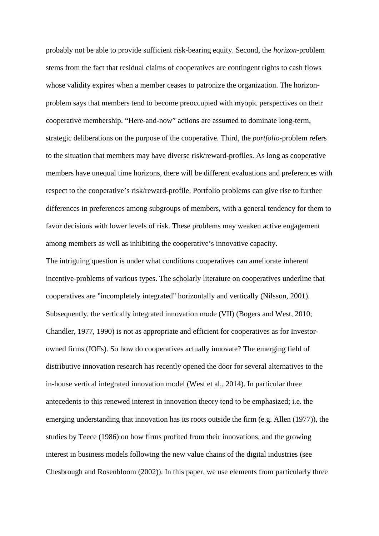probably not be able to provide sufficient risk-bearing equity. Second, the *horizon-*problem stems from the fact that residual claims of cooperatives are contingent rights to cash flows whose validity expires when a member ceases to patronize the organization. The horizonproblem says that members tend to become preoccupied with myopic perspectives on their cooperative membership. "Here-and-now" actions are assumed to dominate long-term, strategic deliberations on the purpose of the cooperative. Third, the *portfolio-*problem refers to the situation that members may have diverse risk/reward-profiles. As long as cooperative members have unequal time horizons, there will be different evaluations and preferences with respect to the cooperative's risk/reward-profile. Portfolio problems can give rise to further differences in preferences among subgroups of members, with a general tendency for them to favor decisions with lower levels of risk. These problems may weaken active engagement among members as well as inhibiting the cooperative's innovative capacity.

The intriguing question is under what conditions cooperatives can ameliorate inherent incentive-problems of various types. The scholarly literature on cooperatives underline that cooperatives are "incompletely integrated" horizontally and vertically (Nilsson, 2001). Subsequently, the vertically integrated innovation mode (VII) (Bogers and West, 2010; Chandler, 1977, 1990) is not as appropriate and efficient for cooperatives as for Investorowned firms (IOFs). So how do cooperatives actually innovate? The emerging field of distributive innovation research has recently opened the door for several alternatives to the in-house vertical integrated innovation model (West et al., 2014). In particular three antecedents to this renewed interest in innovation theory tend to be emphasized; i.e. the emerging understanding that innovation has its roots outside the firm (e.g. Allen (1977)), the studies by Teece (1986) on how firms profited from their innovations, and the growing interest in business models following the new value chains of the digital industries (see Chesbrough and Rosenbloom (2002)). In this paper, we use elements from particularly three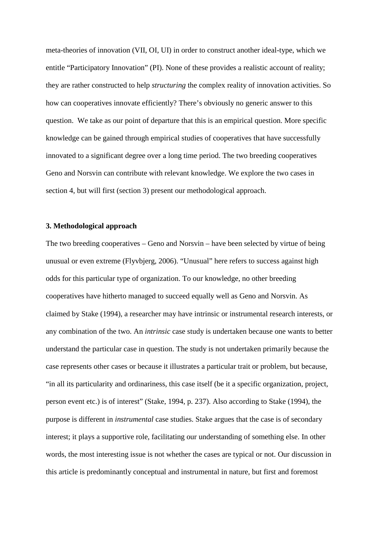meta-theories of innovation (VII, OI, UI) in order to construct another ideal-type, which we entitle "Participatory Innovation" (PI). None of these provides a realistic account of reality; they are rather constructed to help *structuring* the complex reality of innovation activities. So how can cooperatives innovate efficiently? There's obviously no generic answer to this question. We take as our point of departure that this is an empirical question. More specific knowledge can be gained through empirical studies of cooperatives that have successfully innovated to a significant degree over a long time period. The two breeding cooperatives Geno and Norsvin can contribute with relevant knowledge. We explore the two cases in section 4, but will first (section 3) present our methodological approach.

## **3. Methodological approach**

The two breeding cooperatives – Geno and Norsvin – have been selected by virtue of being unusual or even extreme (Flyvbjerg, 2006). "Unusual" here refers to success against high odds for this particular type of organization. To our knowledge, no other breeding cooperatives have hitherto managed to succeed equally well as Geno and Norsvin. As claimed by Stake (1994), a researcher may have intrinsic or instrumental research interests, or any combination of the two. An *intrinsic* case study is undertaken because one wants to better understand the particular case in question. The study is not undertaken primarily because the case represents other cases or because it illustrates a particular trait or problem, but because, "in all its particularity and ordinariness, this case itself (be it a specific organization, project, person event etc.) is of interest" (Stake, 1994, p. 237). Also according to Stake (1994), the purpose is different in *instrumental* case studies. Stake argues that the case is of secondary interest; it plays a supportive role, facilitating our understanding of something else. In other words, the most interesting issue is not whether the cases are typical or not. Our discussion in this article is predominantly conceptual and instrumental in nature, but first and foremost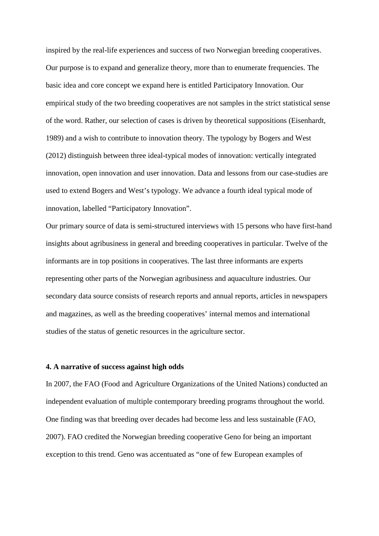inspired by the real-life experiences and success of two Norwegian breeding cooperatives. Our purpose is to expand and generalize theory, more than to enumerate frequencies. The basic idea and core concept we expand here is entitled Participatory Innovation. Our empirical study of the two breeding cooperatives are not samples in the strict statistical sense of the word. Rather, our selection of cases is driven by theoretical suppositions (Eisenhardt, 1989) and a wish to contribute to innovation theory. The typology by Bogers and West (2012) distinguish between three ideal-typical modes of innovation: vertically integrated innovation, open innovation and user innovation. Data and lessons from our case-studies are used to extend Bogers and West's typology. We advance a fourth ideal typical mode of innovation, labelled "Participatory Innovation".

Our primary source of data is semi-structured interviews with 15 persons who have first-hand insights about agribusiness in general and breeding cooperatives in particular. Twelve of the informants are in top positions in cooperatives. The last three informants are experts representing other parts of the Norwegian agribusiness and aquaculture industries. Our secondary data source consists of research reports and annual reports, articles in newspapers and magazines, as well as the breeding cooperatives' internal memos and international studies of the status of genetic resources in the agriculture sector.

#### **4. A narrative of success against high odds**

In 2007, the FAO (Food and Agriculture Organizations of the United Nations) conducted an independent evaluation of multiple contemporary breeding programs throughout the world. One finding was that breeding over decades had become less and less sustainable (FAO, 2007). FAO credited the Norwegian breeding cooperative Geno for being an important exception to this trend. Geno was accentuated as "one of few European examples of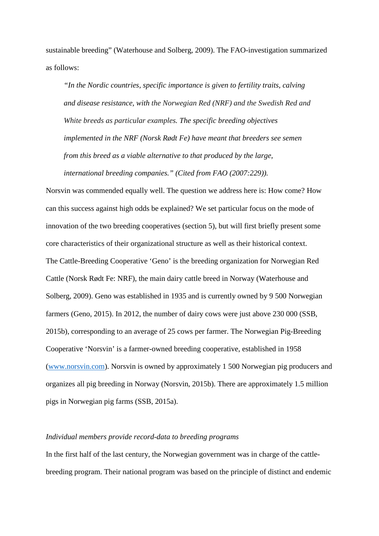sustainable breeding" (Waterhouse and Solberg, 2009). The FAO-investigation summarized as follows:

*"In the Nordic countries, specific importance is given to fertility traits, calving and disease resistance, with the Norwegian Red (NRF) and the Swedish Red and White breeds as particular examples. The specific breeding objectives implemented in the NRF (Norsk Rødt Fe) have meant that breeders see semen from this breed as a viable alternative to that produced by the large, international breeding companies." (Cited from FAO (2007:229)).* 

Norsvin was commended equally well. The question we address here is: How come? How can this success against high odds be explained? We set particular focus on the mode of innovation of the two breeding cooperatives (section 5), but will first briefly present some core characteristics of their organizational structure as well as their historical context. The Cattle-Breeding Cooperative 'Geno' is the breeding organization for Norwegian Red Cattle (Norsk Rødt Fe: NRF), the main dairy cattle breed in Norway (Waterhouse and Solberg, 2009). Geno was established in 1935 and is currently owned by 9 500 Norwegian farmers (Geno, 2015). In 2012, the number of dairy cows were just above 230 000 (SSB, 2015b), corresponding to an average of 25 cows per farmer. The Norwegian Pig-Breeding Cooperative 'Norsvin' is a farmer-owned breeding cooperative, established in 1958 [\(www.norsvin.com\)](http://www.norsvin.com/). Norsvin is owned by approximately 1 500 Norwegian pig producers and organizes all pig breeding in Norway (Norsvin, 2015b). There are approximately 1.5 million pigs in Norwegian pig farms (SSB, 2015a).

## *Individual members provide record-data to breeding programs*

In the first half of the last century, the Norwegian government was in charge of the cattlebreeding program. Their national program was based on the principle of distinct and endemic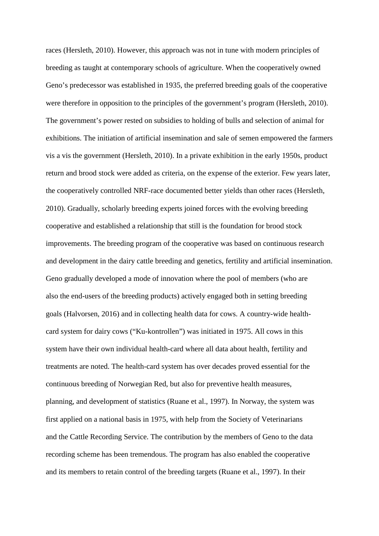races (Hersleth, 2010). However, this approach was not in tune with modern principles of breeding as taught at contemporary schools of agriculture. When the cooperatively owned Geno's predecessor was established in 1935, the preferred breeding goals of the cooperative were therefore in opposition to the principles of the government's program (Hersleth, 2010). The government's power rested on subsidies to holding of bulls and selection of animal for exhibitions. The initiation of artificial insemination and sale of semen empowered the farmers vis a vis the government (Hersleth, 2010). In a private exhibition in the early 1950s, product return and brood stock were added as criteria, on the expense of the exterior. Few years later, the cooperatively controlled NRF-race documented better yields than other races (Hersleth, 2010). Gradually, scholarly breeding experts joined forces with the evolving breeding cooperative and established a relationship that still is the foundation for brood stock improvements. The breeding program of the cooperative was based on continuous research and development in the dairy cattle breeding and genetics, fertility and artificial insemination. Geno gradually developed a mode of innovation where the pool of members (who are also the end-users of the breeding products) actively engaged both in setting breeding goals (Halvorsen, 2016) and in collecting health data for cows. A country-wide healthcard system for dairy cows ("Ku-kontrollen") was initiated in 1975. All cows in this system have their own individual health-card where all data about health, fertility and treatments are noted. The health-card system has over decades proved essential for the continuous breeding of Norwegian Red, but also for preventive health measures, planning, and development of statistics (Ruane et al., 1997). In Norway, the system was first applied on a national basis in 1975, with help from the Society of Veterinarians and the Cattle Recording Service. The contribution by the members of Geno to the data recording scheme has been tremendous. The program has also enabled the cooperative and its members to retain control of the breeding targets (Ruane et al., 1997). In their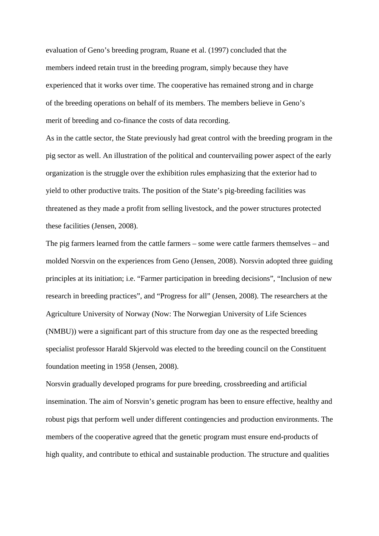evaluation of Geno's breeding program, Ruane et al. (1997) concluded that the members indeed retain trust in the breeding program, simply because they have experienced that it works over time. The cooperative has remained strong and in charge of the breeding operations on behalf of its members. The members believe in Geno's merit of breeding and co-finance the costs of data recording.

As in the cattle sector, the State previously had great control with the breeding program in the pig sector as well. An illustration of the political and countervailing power aspect of the early organization is the struggle over the exhibition rules emphasizing that the exterior had to yield to other productive traits. The position of the State's pig-breeding facilities was threatened as they made a profit from selling livestock, and the power structures protected these facilities (Jensen, 2008).

The pig farmers learned from the cattle farmers – some were cattle farmers themselves – and molded Norsvin on the experiences from Geno (Jensen, 2008). Norsvin adopted three guiding principles at its initiation; i.e. "Farmer participation in breeding decisions", "Inclusion of new research in breeding practices", and "Progress for all" (Jensen, 2008). The researchers at the Agriculture University of Norway (Now: The Norwegian University of Life Sciences (NMBU)) were a significant part of this structure from day one as the respected breeding specialist professor Harald Skjervold was elected to the breeding council on the Constituent foundation meeting in 1958 (Jensen, 2008).

Norsvin gradually developed programs for pure breeding, crossbreeding and artificial insemination. The aim of Norsvin's genetic program has been to ensure effective, healthy and robust pigs that perform well under different contingencies and production environments. The members of the cooperative agreed that the genetic program must ensure end-products of high quality, and contribute to ethical and sustainable production. The structure and qualities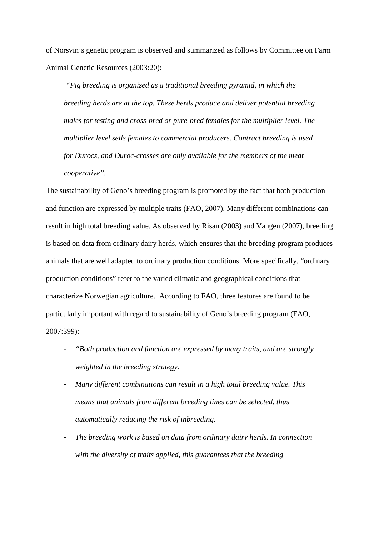of Norsvin's genetic program is observed and summarized as follows by Committee on Farm Animal Genetic Resources (2003:20):

*"Pig breeding is organized as a traditional breeding pyramid, in which the breeding herds are at the top. These herds produce and deliver potential breeding males for testing and cross-bred or pure-bred females for the multiplier level. The multiplier level sells females to commercial producers. Contract breeding is used for Durocs, and Duroc-crosses are only available for the members of the meat cooperative".* 

The sustainability of Geno's breeding program is promoted by the fact that both production and function are expressed by multiple traits (FAO, 2007). Many different combinations can result in high total breeding value. As observed by Risan (2003) and Vangen (2007), breeding is based on data from ordinary dairy herds, which ensures that the breeding program produces animals that are well adapted to ordinary production conditions. More specifically, "ordinary production conditions" refer to the varied climatic and geographical conditions that characterize Norwegian agriculture. According to FAO, three features are found to be particularly important with regard to sustainability of Geno's breeding program (FAO, 2007:399):

- *"Both production and function are expressed by many traits, and are strongly weighted in the breeding strategy.*
- *Many different combinations can result in a high total breeding value. This means that animals from different breeding lines can be selected, thus automatically reducing the risk of inbreeding.*
- The breeding work is based on data from ordinary dairy herds. In connection *with the diversity of traits applied, this guarantees that the breeding*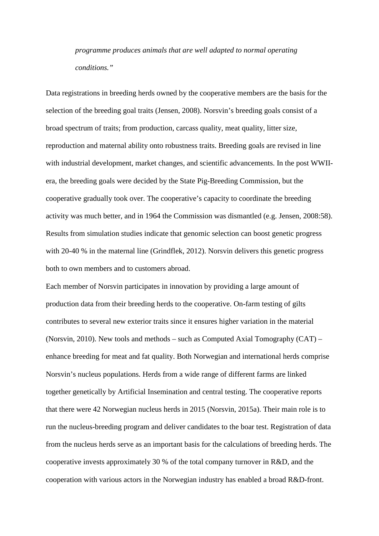*programme produces animals that are well adapted to normal operating conditions."* 

Data registrations in breeding herds owned by the cooperative members are the basis for the selection of the breeding goal traits (Jensen, 2008). Norsvin's breeding goals consist of a broad spectrum of traits; from production, carcass quality, meat quality, litter size, reproduction and maternal ability onto robustness traits. Breeding goals are revised in line with industrial development, market changes, and scientific advancements. In the post WWIIera, the breeding goals were decided by the State Pig-Breeding Commission, but the cooperative gradually took over. The cooperative's capacity to coordinate the breeding activity was much better, and in 1964 the Commission was dismantled (e.g. Jensen, 2008:58). Results from simulation studies indicate that genomic selection can boost genetic progress with 20-40 % in the maternal line (Grindflek, 2012). Norsvin delivers this genetic progress both to own members and to customers abroad.

Each member of Norsvin participates in innovation by providing a large amount of production data from their breeding herds to the cooperative. On-farm testing of gilts contributes to several new exterior traits since it ensures higher variation in the material (Norsvin, 2010). New tools and methods – such as Computed Axial Tomography (CAT) – enhance breeding for meat and fat quality. Both Norwegian and international herds comprise Norsvin's nucleus populations. Herds from a wide range of different farms are linked together genetically by Artificial Insemination and central testing. The cooperative reports that there were 42 Norwegian nucleus herds in 2015 (Norsvin, 2015a). Their main role is to run the nucleus-breeding program and deliver candidates to the boar test. Registration of data from the nucleus herds serve as an important basis for the calculations of breeding herds. The cooperative invests approximately 30 % of the total company turnover in R&D, and the cooperation with various actors in the Norwegian industry has enabled a broad R&D-front.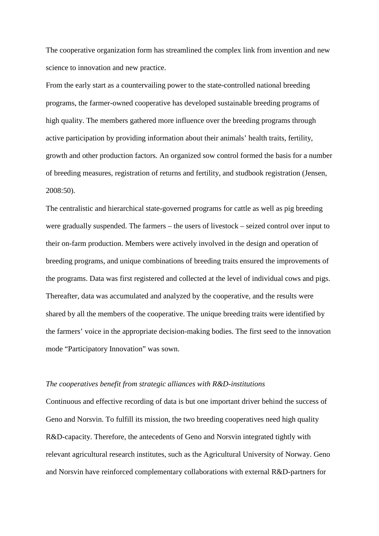The cooperative organization form has streamlined the complex link from invention and new science to innovation and new practice.

From the early start as a countervailing power to the state-controlled national breeding programs, the farmer-owned cooperative has developed sustainable breeding programs of high quality. The members gathered more influence over the breeding programs through active participation by providing information about their animals' health traits, fertility, growth and other production factors. An organized sow control formed the basis for a number of breeding measures, registration of returns and fertility, and studbook registration (Jensen, 2008:50).

The centralistic and hierarchical state-governed programs for cattle as well as pig breeding were gradually suspended. The farmers – the users of livestock – seized control over input to their on-farm production. Members were actively involved in the design and operation of breeding programs, and unique combinations of breeding traits ensured the improvements of the programs. Data was first registered and collected at the level of individual cows and pigs. Thereafter, data was accumulated and analyzed by the cooperative, and the results were shared by all the members of the cooperative. The unique breeding traits were identified by the farmers' voice in the appropriate decision-making bodies. The first seed to the innovation mode "Participatory Innovation" was sown.

#### *The cooperatives benefit from strategic alliances with R&D-institutions*

Continuous and effective recording of data is but one important driver behind the success of Geno and Norsvin. To fulfill its mission, the two breeding cooperatives need high quality R&D-capacity. Therefore, the antecedents of Geno and Norsvin integrated tightly with relevant agricultural research institutes, such as the Agricultural University of Norway. Geno and Norsvin have reinforced complementary collaborations with external R&D-partners for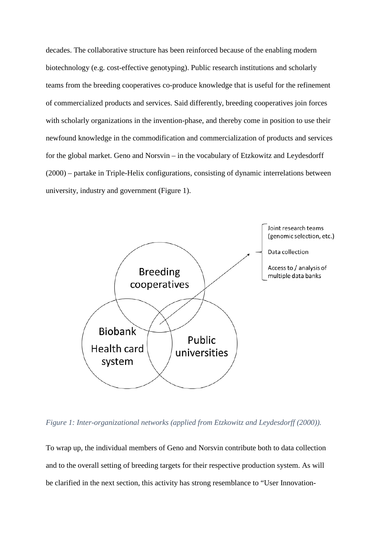decades. The collaborative structure has been reinforced because of the enabling modern biotechnology (e.g. cost-effective genotyping). Public research institutions and scholarly teams from the breeding cooperatives co-produce knowledge that is useful for the refinement of commercialized products and services. Said differently, breeding cooperatives join forces with scholarly organizations in the invention-phase, and thereby come in position to use their newfound knowledge in the commodification and commercialization of products and services for the global market. Geno and Norsvin – in the vocabulary of Etzkowitz and Leydesdorff (2000) – partake in Triple-Helix configurations, consisting of dynamic interrelations between university, industry and government [\(Figure 1\)](#page-15-0).



<span id="page-15-0"></span>*Figure 1: Inter-organizational networks (applied from Etzkowitz and Leydesdorff (2000)).*

To wrap up, the individual members of Geno and Norsvin contribute both to data collection and to the overall setting of breeding targets for their respective production system. As will be clarified in the next section, this activity has strong resemblance to "User Innovation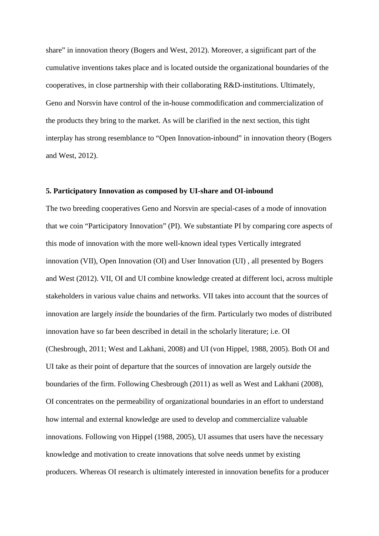share" in innovation theory (Bogers and West, 2012). Moreover, a significant part of the cumulative inventions takes place and is located outside the organizational boundaries of the cooperatives, in close partnership with their collaborating R&D-institutions. Ultimately, Geno and Norsvin have control of the in-house commodification and commercialization of the products they bring to the market. As will be clarified in the next section, this tight interplay has strong resemblance to "Open Innovation-inbound" in innovation theory (Bogers and West, 2012).

#### **5. Participatory Innovation as composed by UI-share and OI-inbound**

The two breeding cooperatives Geno and Norsvin are special-cases of a mode of innovation that we coin "Participatory Innovation" (PI). We substantiate PI by comparing core aspects of this mode of innovation with the more well-known ideal types Vertically integrated innovation (VII), Open Innovation (OI) and User Innovation (UI) , all presented by Bogers and West (2012). VII, OI and UI combine knowledge created at different loci, across multiple stakeholders in various value chains and networks. VII takes into account that the sources of innovation are largely *inside* the boundaries of the firm. Particularly two modes of distributed innovation have so far been described in detail in the scholarly literature; i.e. OI (Chesbrough, 2011; West and Lakhani, 2008) and UI (von Hippel, 1988, 2005). Both OI and UI take as their point of departure that the sources of innovation are largely *outside* the boundaries of the firm. Following Chesbrough (2011) as well as West and Lakhani (2008), OI concentrates on the permeability of organizational boundaries in an effort to understand how internal and external knowledge are used to develop and commercialize valuable innovations. Following von Hippel (1988, 2005), UI assumes that users have the necessary knowledge and motivation to create innovations that solve needs unmet by existing producers. Whereas OI research is ultimately interested in innovation benefits for a producer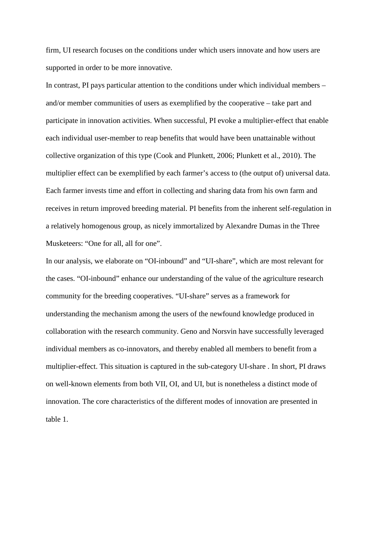firm, UI research focuses on the conditions under which users innovate and how users are supported in order to be more innovative.

In contrast, PI pays particular attention to the conditions under which individual members – and/or member communities of users as exemplified by the cooperative – take part and participate in innovation activities. When successful, PI evoke a multiplier-effect that enable each individual user-member to reap benefits that would have been unattainable without collective organization of this type (Cook and Plunkett, 2006; Plunkett et al., 2010). The multiplier effect can be exemplified by each farmer's access to (the output of) universal data. Each farmer invests time and effort in collecting and sharing data from his own farm and receives in return improved breeding material. PI benefits from the inherent self-regulation in a relatively homogenous group, as nicely immortalized by Alexandre Dumas in the Three Musketeers: "One for all, all for one".

In our analysis, we elaborate on "OI-inbound" and "UI-share", which are most relevant for the cases. "OI-inbound" enhance our understanding of the value of the agriculture research community for the breeding cooperatives. "UI-share" serves as a framework for understanding the mechanism among the users of the newfound knowledge produced in collaboration with the research community. Geno and Norsvin have successfully leveraged individual members as co-innovators, and thereby enabled all members to benefit from a multiplier-effect. This situation is captured in the sub-category UI-share . In short, PI draws on well-known elements from both VII, OI, and UI, but is nonetheless a distinct mode of innovation. The core characteristics of the different modes of innovation are presented in table 1.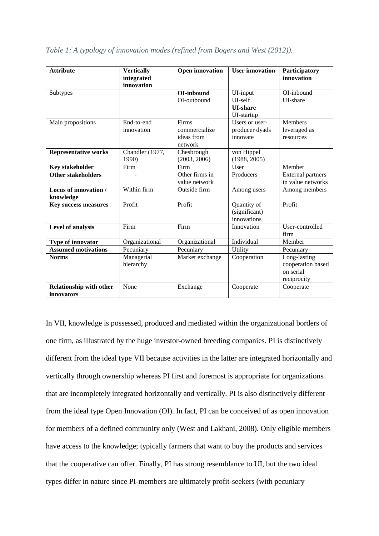| <b>Attribute</b>                                    | <b>Vertically</b><br>integrated<br>innovation | <b>Open innovation</b>                          | <b>User innovation</b>                               | Participatory<br>innovation                                   |
|-----------------------------------------------------|-----------------------------------------------|-------------------------------------------------|------------------------------------------------------|---------------------------------------------------------------|
| Subtypes                                            |                                               | <b>OI-inbound</b><br>OI-outbound                | UI-input<br>UI-self<br><b>UI-share</b><br>UI-startup | OI-inbound<br>UI-share                                        |
| Main propositions                                   | End-to-end<br>innovation                      | Firms<br>commercialize<br>ideas from<br>network | Users or user-<br>producer dyads<br>innovate         | <b>Members</b><br>leveraged as<br>resources                   |
| <b>Representative works</b>                         | Chandler (1977,<br>1990)                      | Chesbrough<br>(2003, 2006)                      | von Hippel<br>(1988, 2005)                           |                                                               |
| <b>Key stakeholder</b>                              | Firm                                          | Firm                                            | User                                                 | Member                                                        |
| <b>Other stakeholders</b>                           |                                               | Other firms in<br>value network                 | Producers                                            | <b>External partners</b><br>in value networks                 |
| Locus of innovation /<br>knowledge                  | Within firm                                   | Outside firm                                    | Among users                                          | Among members                                                 |
| <b>Key success measures</b>                         | Profit                                        | Profit                                          | Quantity of<br>(significant)<br>innovations          | Profit                                                        |
| Level of analysis                                   | Firm                                          | Firm                                            | Innovation                                           | User-controlled<br>firm                                       |
| Type of innovator                                   | Organizational                                | Organizational                                  | Individual                                           | Member                                                        |
| <b>Assumed motivations</b>                          | Pecuniary                                     | Pecuniary                                       | Utility                                              | Pecuniary                                                     |
| <b>Norms</b>                                        | Managerial<br>hierarchy                       | Market exchange                                 | Cooperation                                          | Long-lasting<br>cooperation based<br>on serial<br>reciprocity |
| <b>Relationship with other</b><br><i>innovators</i> | None                                          | Exchange                                        | Cooperate                                            | Cooperate                                                     |

*Table 1: A typology of innovation modes (refined from Bogers and West (2012)).*

In VII, knowledge is possessed, produced and mediated within the organizational borders of one firm, as illustrated by the huge investor-owned breeding companies. PI is distinctively different from the ideal type VII because activities in the latter are integrated horizontally and vertically through ownership whereas PI first and foremost is appropriate for organizations that are incompletely integrated horizontally and vertically. PI is also distinctively different from the ideal type Open Innovation (OI). In fact, PI can be conceived of as open innovation for members of a defined community only (West and Lakhani, 2008). Only eligible members have access to the knowledge; typically farmers that want to buy the products and services that the cooperative can offer. Finally, PI has strong resemblance to UI, but the two ideal types differ in nature since PI-members are ultimately profit-seekers (with pecuniary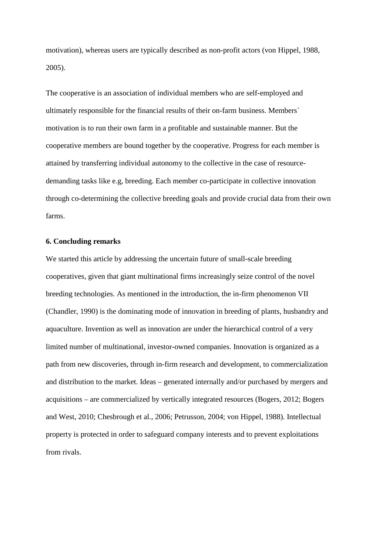motivation), whereas users are typically described as non-profit actors (von Hippel, 1988, 2005).

The cooperative is an association of individual members who are self-employed and ultimately responsible for the financial results of their on-farm business. Members` motivation is to run their own farm in a profitable and sustainable manner. But the cooperative members are bound together by the cooperative. Progress for each member is attained by transferring individual autonomy to the collective in the case of resourcedemanding tasks like e.g, breeding. Each member co-participate in collective innovation through co-determining the collective breeding goals and provide crucial data from their own farms.

### **6. Concluding remarks**

We started this article by addressing the uncertain future of small-scale breeding cooperatives, given that giant multinational firms increasingly seize control of the novel breeding technologies. As mentioned in the introduction, the in-firm phenomenon VII (Chandler, 1990) is the dominating mode of innovation in breeding of plants, husbandry and aquaculture. Invention as well as innovation are under the hierarchical control of a very limited number of multinational, investor-owned companies. Innovation is organized as a path from new discoveries, through in-firm research and development, to commercialization and distribution to the market. Ideas – generated internally and/or purchased by mergers and acquisitions – are commercialized by vertically integrated resources (Bogers, 2012; Bogers and West, 2010; Chesbrough et al., 2006; Petrusson, 2004; von Hippel, 1988). Intellectual property is protected in order to safeguard company interests and to prevent exploitations from rivals.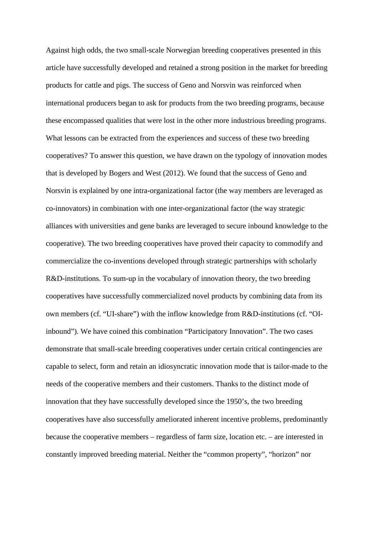Against high odds, the two small-scale Norwegian breeding cooperatives presented in this article have successfully developed and retained a strong position in the market for breeding products for cattle and pigs. The success of Geno and Norsvin was reinforced when international producers began to ask for products from the two breeding programs, because these encompassed qualities that were lost in the other more industrious breeding programs. What lessons can be extracted from the experiences and success of these two breeding cooperatives? To answer this question, we have drawn on the typology of innovation modes that is developed by Bogers and West (2012). We found that the success of Geno and Norsvin is explained by one intra-organizational factor (the way members are leveraged as co-innovators) in combination with one inter-organizational factor (the way strategic alliances with universities and gene banks are leveraged to secure inbound knowledge to the cooperative). The two breeding cooperatives have proved their capacity to commodify and commercialize the co-inventions developed through strategic partnerships with scholarly R&D-institutions. To sum-up in the vocabulary of innovation theory, the two breeding cooperatives have successfully commercialized novel products by combining data from its own members (cf. "UI-share") with the inflow knowledge from R&D-institutions (cf. "OIinbound"). We have coined this combination "Participatory Innovation". The two cases demonstrate that small-scale breeding cooperatives under certain critical contingencies are capable to select, form and retain an idiosyncratic innovation mode that is tailor-made to the needs of the cooperative members and their customers. Thanks to the distinct mode of innovation that they have successfully developed since the 1950's, the two breeding cooperatives have also successfully ameliorated inherent incentive problems, predominantly because the cooperative members – regardless of farm size, location etc. – are interested in constantly improved breeding material. Neither the "common property", "horizon" nor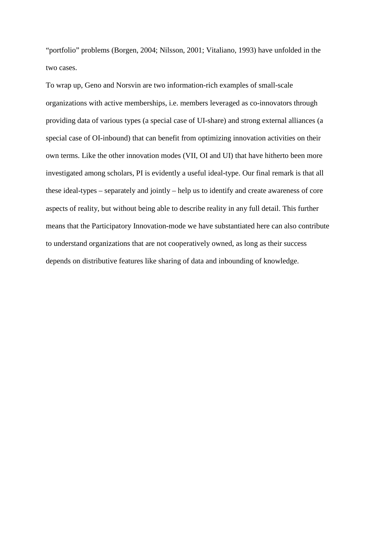"portfolio" problems (Borgen, 2004; Nilsson, 2001; Vitaliano, 1993) have unfolded in the two cases.

To wrap up, Geno and Norsvin are two information-rich examples of small-scale organizations with active memberships, i.e. members leveraged as co-innovators through providing data of various types (a special case of UI-share) and strong external alliances (a special case of OI-inbound) that can benefit from optimizing innovation activities on their own terms. Like the other innovation modes (VII, OI and UI) that have hitherto been more investigated among scholars, PI is evidently a useful ideal-type. Our final remark is that all these ideal-types – separately and jointly – help us to identify and create awareness of core aspects of reality, but without being able to describe reality in any full detail. This further means that the Participatory Innovation-mode we have substantiated here can also contribute to understand organizations that are not cooperatively owned, as long as their success depends on distributive features like sharing of data and inbounding of knowledge.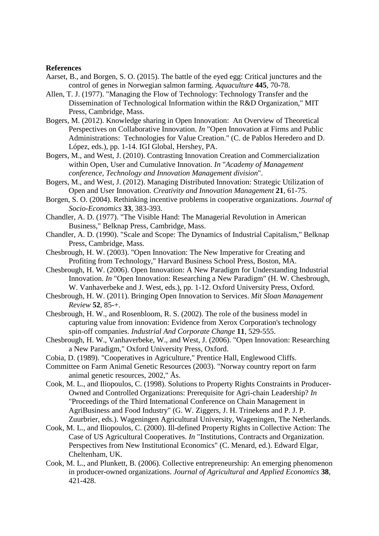#### **References**

- Aarset, B., and Borgen, S. O. (2015). The battle of the eyed egg: Critical junctures and the control of genes in Norwegian salmon farming. *Aquaculture* **445**, 70-78.
- Allen, T. J. (1977). "Managing the Flow of Technology: Technology Transfer and the Dissemination of Technological Information within the R&D Organization," MIT Press, Cambridge, Mass.
- Bogers, M. (2012). Knowledge sharing in Open Innovation: An Overview of Theoretical Perspectives on Collaborative Innovation. *In* "Open Innovation at Firms and Public Administrations: Technologies for Value Creation." (C. de Pablos Heredero and D. López, eds.), pp. 1-14. IGI Global, Hershey, PA.
- Bogers, M., and West, J. (2010). Contrasting Innovation Creation and Commercialization within Open, User and Cumulative Innovation. *In* "*Academy of Management conference, Technology and Innovation Management division*".
- Bogers, M., and West, J. (2012). Managing Distributed Innovation: Strategic Utilization of Open and User Innovation. *Creativity and Innovation Management* **21**, 61-75.
- Borgen, S. O. (2004). Rethinking incentive problems in cooperative organizations. *Journal of Socio-Economics* **33**, 383-393.
- Chandler, A. D. (1977). "The Visible Hand: The Managerial Revolution in American Business," Belknap Press, Cambridge, Mass.
- Chandler, A. D. (1990). "Scale and Scope: The Dynamics of Industrial Capitalism," Belknap Press, Cambridge, Mass.
- Chesbrough, H. W. (2003). "Open Innovation: The New Imperative for Creating and Profiting from Technology," Harvard Business School Press, Boston, MA.
- Chesbrough, H. W. (2006). Open Innovation: A New Paradigm for Understanding Industrial Innovation. *In* "Open Innovation: Researching a New Paradigm" (H. W. Chesbrough, W. Vanhaverbeke and J. West, eds.), pp. 1-12. Oxford University Press, Oxford.
- Chesbrough, H. W. (2011). Bringing Open Innovation to Services. *Mit Sloan Management Review* **52**, 85-+.
- Chesbrough, H. W., and Rosenbloom, R. S. (2002). The role of the business model in capturing value from innovation: Evidence from Xerox Corporation's technology spin-off companies. *Industrial And Corporate Change* **11**, 529-555.
- Chesbrough, H. W., Vanhaverbeke, W., and West, J. (2006). "Open Innovation: Researching a New Paradigm," Oxford University Press, Oxford.
- Cobia, D. (1989). "Cooperatives in Agriculture," Prentice Hall, Englewood Cliffs.
- Committee on Farm Animal Genetic Resources (2003). "Norway country report on farm animal genetic resources, 2002," Ås.
- Cook, M. L., and Iliopoulos, C. (1998). Solutions to Property Rights Constraints in Producer-Owned and Controlled Organizations: Prerequisite for Agri-chain Leadership? *In* "Proceedings of the Third International Conference on Chain Management in AgriBusiness and Food Industry" (G. W. Ziggers, J. H. Trinekens and P. J. P. Zuurbrier, eds.). Wageningen Agricultural University, Wageningen, The Netherlands.
- Cook, M. L., and Iliopoulos, C. (2000). Ill-defined Property Rights in Collective Action: The Case of US Agricultural Cooperatives. *In* "Institutions, Contracts and Organization. Perspectives from New Institutional Economics" (C. Menard, ed.). Edward Elgar, Cheltenham, UK.
- Cook, M. L., and Plunkett, B. (2006). Collective entrepreneurship: An emerging phenomenon in producer-owned organizations. *Journal of Agricultural and Applied Economics* **38**, 421-428.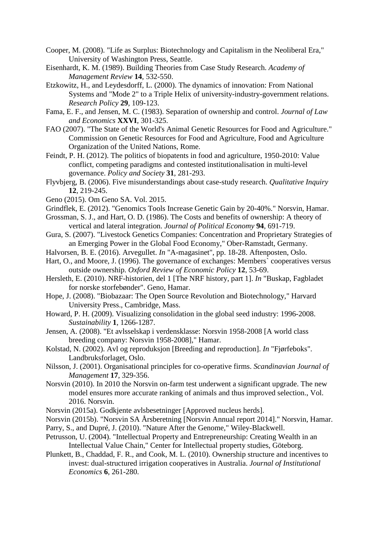- Cooper, M. (2008). "Life as Surplus: Biotechnology and Capitalism in the Neoliberal Era," University of Washington Press, Seattle.
- Eisenhardt, K. M. (1989). Building Theories from Case Study Research. *Academy of Management Review* **14**, 532-550.
- Etzkowitz, H., and Leydesdorff, L. (2000). The dynamics of innovation: From National Systems and "Mode 2" to a Triple Helix of university-industry-government relations. *Research Policy* **29**, 109-123.
- Fama, E. F., and Jensen, M. C. (1983). Separation of ownership and control. *Journal of Law and Economics* **XXVI**, 301-325.
- FAO (2007). "The State of the World's Animal Genetic Resources for Food and Agriculture." Commission on Genetic Resources for Food and Agriculture, Food and Agriculture Organization of the United Nations, Rome.
- Feindt, P. H. (2012). The politics of biopatents in food and agriculture, 1950-2010: Value conflict, competing paradigms and contested institutionalisation in multi-level governance. *Policy and Society* **31**, 281-293.
- Flyvbjerg, B. (2006). Five misunderstandings about case-study research. *Qualitative Inquiry* **12**, 219-245.
- Geno (2015). Om Geno SA. Vol. 2015.
- Grindflek, E. (2012). "Genomics Tools Increase Genetic Gain by 20-40%." Norsvin, Hamar.
- Grossman, S. J., and Hart, O. D. (1986). The Costs and benefits of ownership: A theory of vertical and lateral integration. *Journal of Political Economy* **94**, 691-719.
- Gura, S. (2007). "Livestock Genetics Companies: Concentration and Proprietary Strategies of an Emerging Power in the Global Food Economy," Ober-Ramstadt, Germany.
- Halvorsen, B. E. (2016). Arvegullet. *In* "A-magasinet", pp. 18-28. Aftenposten, Oslo.
- Hart, O., and Moore, J. (1996). The governance of exchanges: Members` cooperatives versus outside ownership. *Oxford Review of Economic Policy* **12**, 53-69.
- Hersleth, E. (2010). NRF-historien, del 1 [The NRF history, part 1]. *In* "Buskap, Fagbladet for norske storfebønder". Geno, Hamar.
- Hope, J. (2008). "Biobazaar: The Open Source Revolution and Biotechnology," Harvard University Press., Cambridge, Mass.
- Howard, P. H. (2009). Visualizing consolidation in the global seed industry: 1996-2008. *Sustainability* **1**, 1266-1287.
- Jensen, A. (2008). "Et avlsselskap i verdensklasse: Norsvin 1958-2008 [A world class breeding company: Norsvin 1958-2008]," Hamar.
- Kolstad, N. (2002). Avl og reproduksjon [Breeding and reproduction]. *In* "Fjørfeboks". Landbruksforlaget, Oslo.
- Nilsson, J. (2001). Organisational principles for co-operative firms. *Scandinavian Journal of Management* **17**, 329-356.
- Norsvin (2010). In 2010 the Norsvin on-farm test underwent a significant upgrade. The new model ensures more accurate ranking of animals and thus improved selection., Vol. 2016. Norsvin.
- Norsvin (2015a). Godkjente avlsbesetninger [Approved nucleus herds].
- Norsvin (2015b). "Norsvin SA Årsberetning [Norsvin Annual report 2014]." Norsvin, Hamar.
- Parry, S., and Dupré, J. (2010). "Nature After the Genome," Wiley-Blackwell.
- Petrusson, U. (2004). "Intellectual Property and Entrepreneurship: Creating Wealth in an Intellectual Value Chain," Center for Intellectual property studies, Göteborg.
- Plunkett, B., Chaddad, F. R., and Cook, M. L. (2010). Ownership structure and incentives to invest: dual-structured irrigation cooperatives in Australia. *Journal of Institutional Economics* **6**, 261-280.